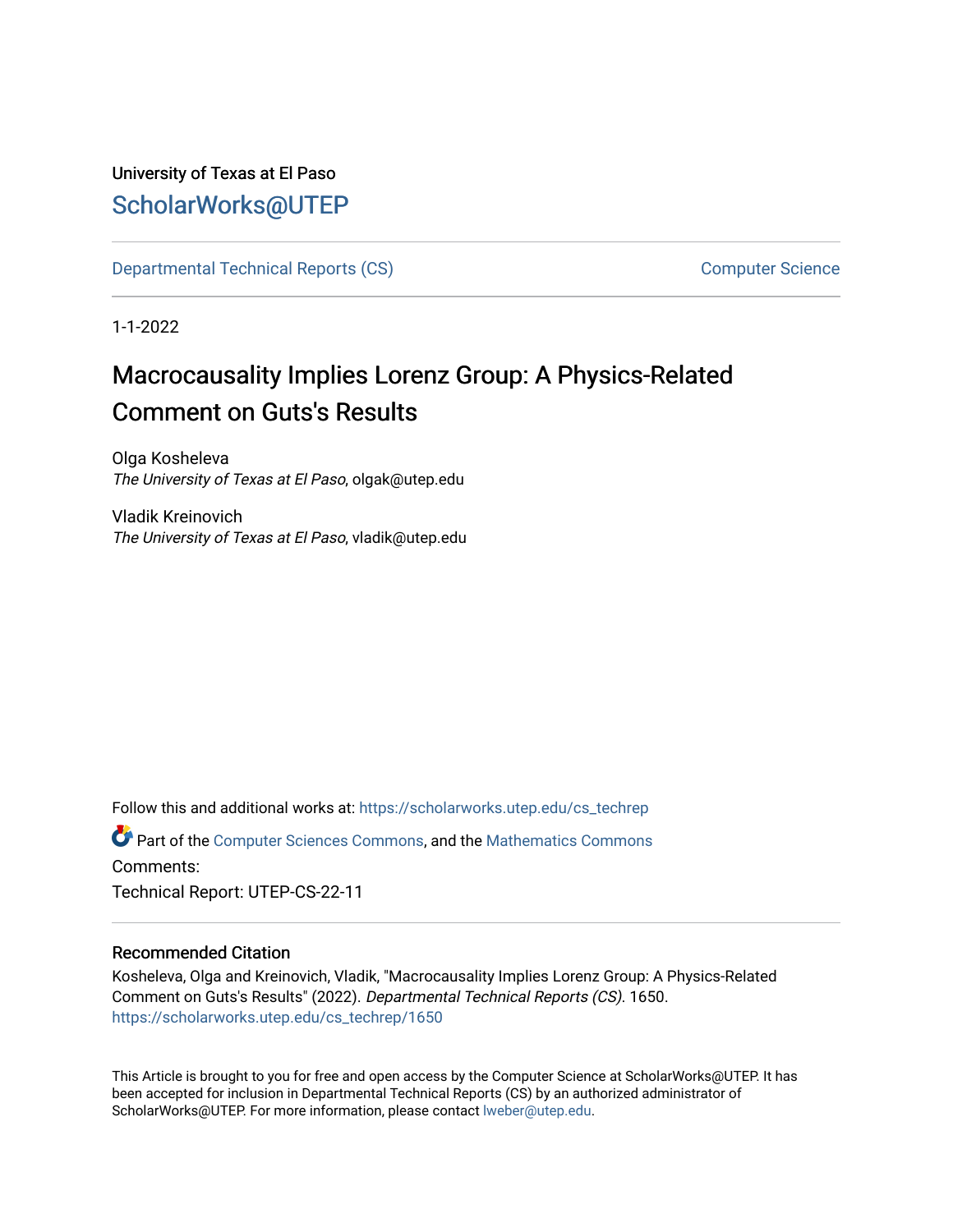## University of Texas at El Paso [ScholarWorks@UTEP](https://scholarworks.utep.edu/)

[Departmental Technical Reports \(CS\)](https://scholarworks.utep.edu/cs_techrep) [Computer Science](https://scholarworks.utep.edu/computer) 

1-1-2022

# Macrocausality Implies Lorenz Group: A Physics-Related Comment on Guts's Results

Olga Kosheleva The University of Texas at El Paso, olgak@utep.edu

Vladik Kreinovich The University of Texas at El Paso, vladik@utep.edu

Follow this and additional works at: [https://scholarworks.utep.edu/cs\\_techrep](https://scholarworks.utep.edu/cs_techrep?utm_source=scholarworks.utep.edu%2Fcs_techrep%2F1650&utm_medium=PDF&utm_campaign=PDFCoverPages) 

Part of the [Computer Sciences Commons](http://network.bepress.com/hgg/discipline/142?utm_source=scholarworks.utep.edu%2Fcs_techrep%2F1650&utm_medium=PDF&utm_campaign=PDFCoverPages), and the [Mathematics Commons](http://network.bepress.com/hgg/discipline/174?utm_source=scholarworks.utep.edu%2Fcs_techrep%2F1650&utm_medium=PDF&utm_campaign=PDFCoverPages)  Comments:

Technical Report: UTEP-CS-22-11

#### Recommended Citation

Kosheleva, Olga and Kreinovich, Vladik, "Macrocausality Implies Lorenz Group: A Physics-Related Comment on Guts's Results" (2022). Departmental Technical Reports (CS). 1650. [https://scholarworks.utep.edu/cs\\_techrep/1650](https://scholarworks.utep.edu/cs_techrep/1650?utm_source=scholarworks.utep.edu%2Fcs_techrep%2F1650&utm_medium=PDF&utm_campaign=PDFCoverPages) 

This Article is brought to you for free and open access by the Computer Science at ScholarWorks@UTEP. It has been accepted for inclusion in Departmental Technical Reports (CS) by an authorized administrator of ScholarWorks@UTEP. For more information, please contact [lweber@utep.edu](mailto:lweber@utep.edu).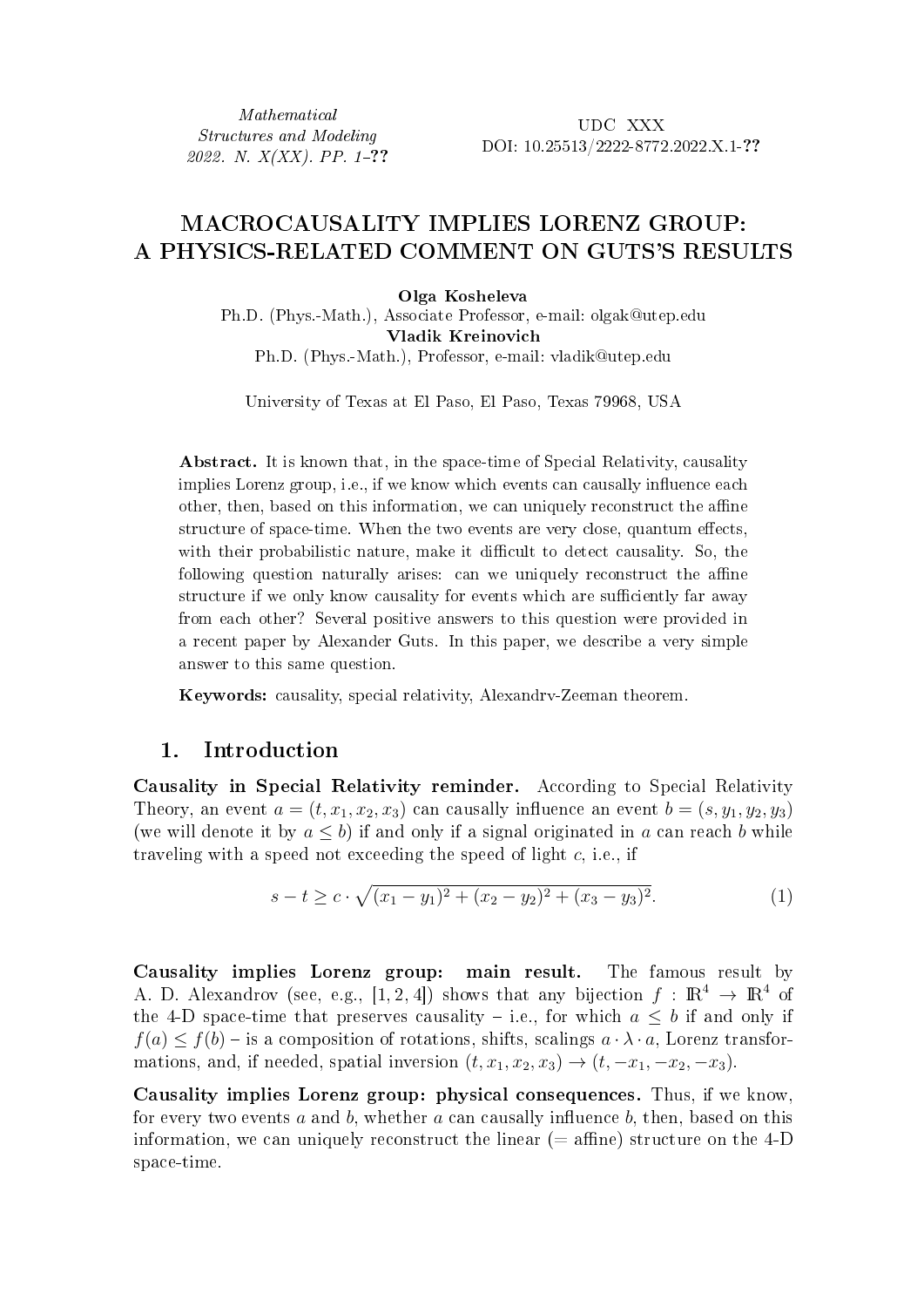Mathematical Structures and Modeling 2022. N.  $X(XX)$ . PP. 1-??

UDC XXX DOI: 10.25513/2222-8772.2022.X.1-??

### MACROCAUSALITY IMPLIES LORENZ GROUP: A PHYSICS-RELATED COMMENT ON GUTS'S RESULTS

Olga Kosheleva

Ph.D. (Phys.-Math.), Associate Professor, e-mail: olgak@utep.edu Vladik Kreinovich Ph.D. (Phys.-Math.), Professor, e-mail: vladik@utep.edu

University of Texas at El Paso, El Paso, Texas 79968, USA

Abstract. It is known that, in the space-time of Special Relativity, causality implies Lorenz group, i.e., if we know which events can causally influence each other, then, based on this information, we can uniquely reconstruct the affine structure of space-time. When the two events are very close, quantum effects, with their probabilistic nature, make it difficult to detect causality. So, the following question naturally arises: can we uniquely reconstruct the affine structure if we only know causality for events which are sufficiently far away from each other? Several positive answers to this question were provided in a recent paper by Alexander Guts. In this paper, we describe a very simple answer to this same question.

Keywords: causality, special relativity, Alexandrv-Zeeman theorem.

#### 1. Introduction

Causality in Special Relativity reminder. According to Special Relativity Theory, an event  $a = (t, x_1, x_2, x_3)$  can causally influence an event  $b = (s, y_1, y_2, y_3)$ (we will denote it by  $a \leq b$ ) if and only if a signal originated in a can reach b while traveling with a speed not exceeding the speed of light  $c$ , i.e., if

$$
s-t \geq c \cdot \sqrt{(x_1 - y_1)^2 + (x_2 - y_2)^2 + (x_3 - y_3)^2}.
$$
 (1)

Causality implies Lorenz group: main result. The famous result by A. D. Alexandrov (see, e.g., [1, 2, 4]) shows that any bijection  $f : \mathbb{R}^4 \to \mathbb{R}^4$  of the 4-D space-time that preserves causality – i.e., for which  $a \leq b$  if and only if  $f(a) \leq f(b) -$  is a composition of rotations, shifts, scalings  $a \cdot \lambda \cdot a$ , Lorenz transformations, and, if needed, spatial inversion  $(t, x_1, x_2, x_3) \rightarrow (t, -x_1, -x_2, -x_3)$ .

Causality implies Lorenz group: physical consequences. Thus, if we know, for every two events  $a$  and  $b$ , whether  $a$  can causally influence  $b$ , then, based on this information, we can uniquely reconstruct the linear  $(=$  affine) structure on the 4-D space-time.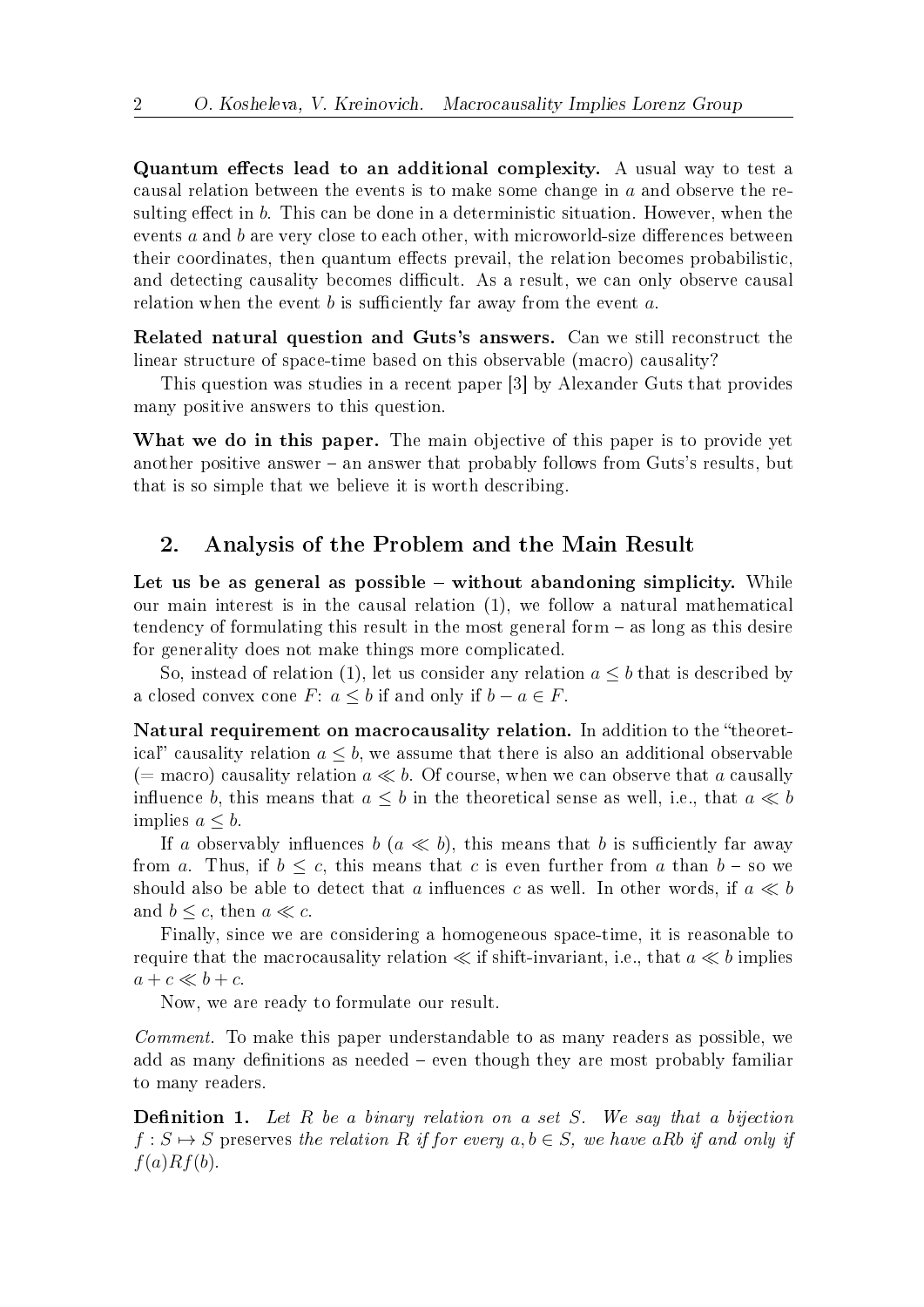Quantum effects lead to an additional complexity. A usual way to test a causal relation between the events is to make some change in  $a$  and observe the resulting effect in  $b$ . This can be done in a deterministic situation. However, when the events  $a$  and  $b$  are very close to each other, with microworld-size differences between their coordinates, then quantum effects prevail, the relation becomes probabilistic, and detecting causality becomes difficult. As a result, we can only observe causal relation when the event  $b$  is sufficiently far away from the event  $a$ .

Related natural question and Guts's answers. Can we still reconstruct the linear structure of space-time based on this observable (macro) causality?

This question was studies in a recent paper [3] by Alexander Guts that provides many positive answers to this question.

What we do in this paper. The main objective of this paper is to provide yet another positive answer – an answer that probably follows from Guts's results, but that is so simple that we believe it is worth describing.

#### 2. Analysis of the Problem and the Main Result

Let us be as general as possible – without abandoning simplicity. While our main interest is in the causal relation (1), we follow a natural mathematical tendency of formulating this result in the most general form – as long as this desire for generality does not make things more complicated.

So, instead of relation (1), let us consider any relation  $a \leq b$  that is described by a closed convex cone  $F: a \leq b$  if and only if  $b - a \in F$ .

Natural requirement on macrocausality relation. In addition to the "theoretical" causality relation  $a \leq b$ , we assume that there is also an additional observable (= macro) causality relation  $a \ll b$ . Of course, when we can observe that a causally influence b, this means that  $a \leq b$  in the theoretical sense as well, i.e., that  $a \ll b$ implies  $a \leq b$ .

If a observably influences  $b \ (a \ll b)$ , this means that b is sufficiently far away from a. Thus, if  $b \leq c$ , this means that c is even further from a than  $b -$  so we should also be able to detect that a influences c as well. In other words, if  $a \ll b$ and  $b \leq c$ , then  $a \ll c$ .

Finally, since we are considering a homogeneous space-time, it is reasonable to require that the macrocausality relation  $\ll$  if shift-invariant, i.e., that  $a \ll b$  implies  $a + c \ll b + c$ .

Now, we are ready to formulate our result.

Comment. To make this paper understandable to as many readers as possible, we add as many definitions as needed – even though they are most probably familiar to many readers.

**Definition 1.** Let  $R$  be a binary relation on a set  $S$ . We say that a bijection  $f: S \mapsto S$  preserves the relation R if for every  $a, b \in S$ , we have aRb if and only if  $f(a)Rf(b).$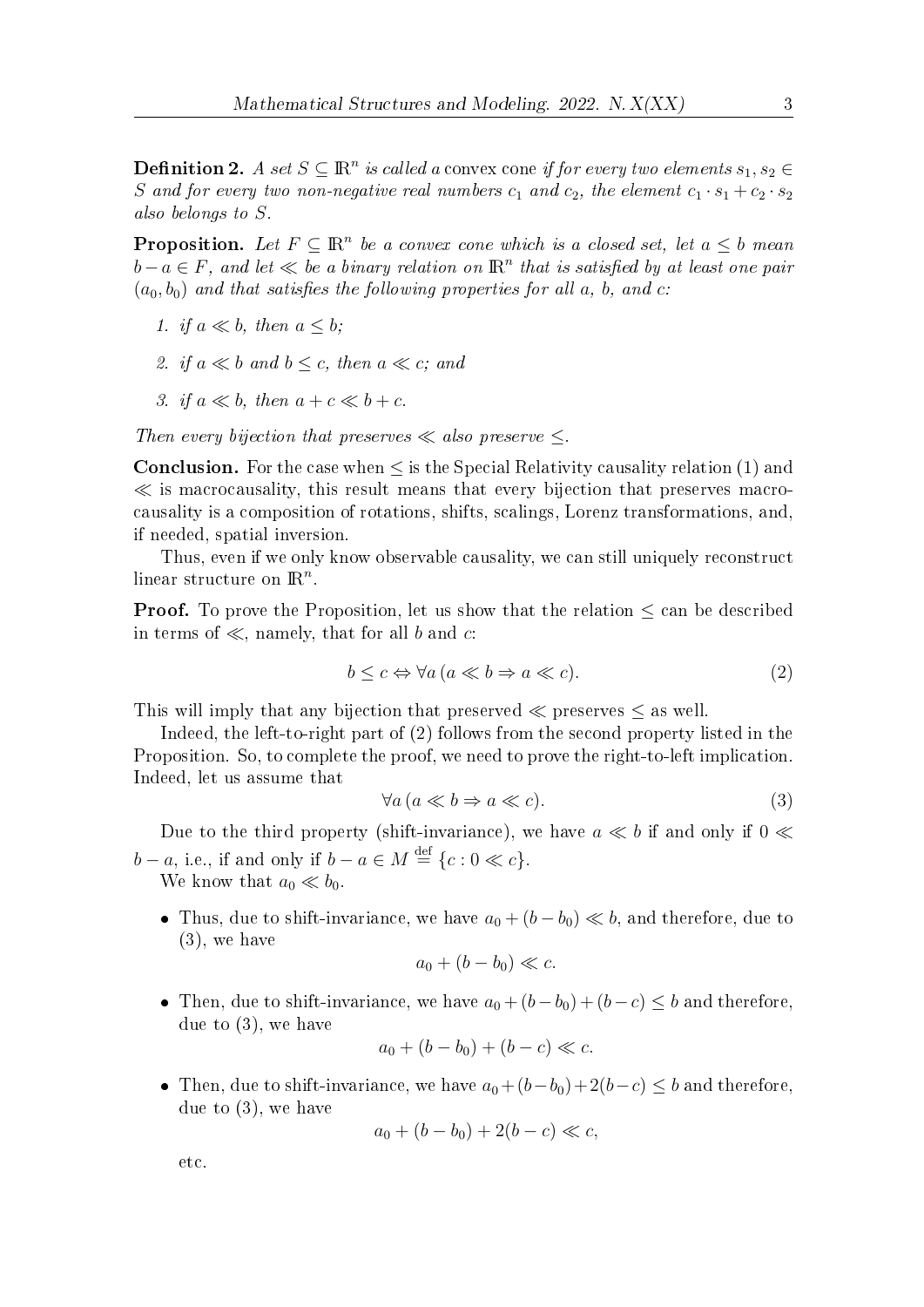**Definition 2.** A set  $S \subseteq \mathbb{R}^n$  is called a convex cone if for every two elements  $s_1, s_2 \in$ S and for every two non-negative real numbers  $c_1$  and  $c_2$ , the element  $c_1 \cdot s_1 + c_2 \cdot s_2$ also belongs to  $S$ .

**Proposition.** Let  $F \subseteq \mathbb{R}^n$  be a convex cone which is a closed set, let  $a \leq b$  mean  $b-a\in F$ , and let  $\ll b$ e a binary relation on  $\mathbb{R}^n$  that is satisfied by at least one pair  $(a_0, b_0)$  and that satisfies the following properties for all a, b, and c:

1. if 
$$
a \ll b
$$
, then  $a \leq b$ ;

- 2. if  $a \ll b$  and  $b \leq c$ , then  $a \ll c$ ; and
- 3. if  $a \ll b$ , then  $a + c \ll b + c$ .

Then every bijection that preserves  $\ll$  also preserve  $\lt$ .

**Conclusion.** For the case when  $\leq$  is the Special Relativity causality relation  $(1)$  and  $\ll$  is macrocausality, this result means that every bijection that preserves macrocausality is a composition of rotations, shifts, scalings, Lorenz transformations, and, if needed, spatial inversion.

Thus, even if we only know observable causality, we can still uniquely reconstruct linear structure on  $\mathbb{R}^n$ .

**Proof.** To prove the Proposition, let us show that the relation  $\leq$  can be described in terms of  $\ll$ , namely, that for all *b* and *c*:

$$
b \le c \Leftrightarrow \forall a \, (a \ll b \Rightarrow a \ll c). \tag{2}
$$

This will imply that any bijection that preserved  $\ll$  preserves  $\leq$  as well.

Indeed, the left-to-right part of (2) follows from the second property listed in the Proposition. So, to complete the proof, we need to prove the right-to-left implication. Indeed, let us assume that

$$
\forall a \left( a \ll b \Rightarrow a \ll c \right). \tag{3}
$$

Due to the third property (shift-invariance), we have  $a \ll b$  if and only if  $0 \ll$  $b-a$ , i.e., if and only if  $b-a \in M \stackrel{\text{def}}{=} \{c : 0 \ll c\}.$ 

We know that  $a_0 \ll b_0$ .

• Thus, due to shift-invariance, we have  $a_0 + (b - b_0) \ll b$ , and therefore, due to (3), we have

$$
a_0 + (b - b_0) \ll c.
$$

• Then, due to shift-invariance, we have  $a_0 + (b - b_0) + (b - c) \le b$  and therefore, due to (3), we have

$$
a_0 + (b - b_0) + (b - c) \ll c.
$$

• Then, due to shift-invariance, we have  $a_0 + (b - b_0) + 2(b - c) \le b$  and therefore, due to (3), we have

$$
a_0 + (b - b_0) + 2(b - c) \ll c,
$$

etc.